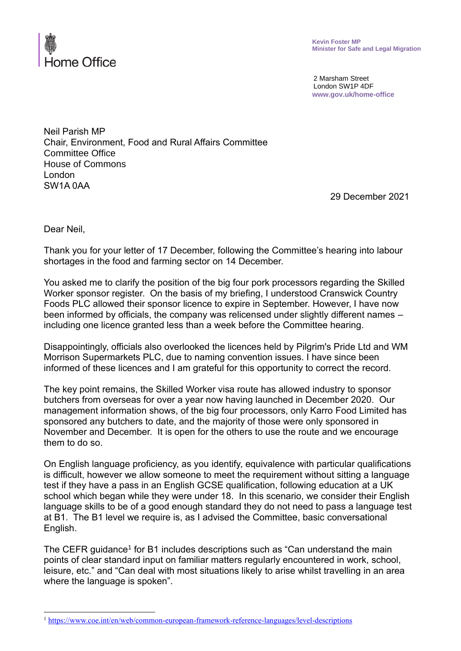

2 Marsham Street London SW1P 4DF **www.gov.uk/home-office**

Neil Parish MP Chair, Environment, Food and Rural Affairs Committee Committee Office House of Commons London SW1A 0AA

29 December 2021

Dear Neil,

Thank you for your letter of 17 December, following the Committee's hearing into labour shortages in the food and farming sector on 14 December.

You asked me to clarify the position of the big four pork processors regarding the Skilled Worker sponsor register. On the basis of my briefing, I understood Cranswick Country Foods PLC allowed their sponsor licence to expire in September. However, I have now been informed by officials, the company was relicensed under slightly different names – including one licence granted less than a week before the Committee hearing.

Disappointingly, officials also overlooked the licences held by Pilgrim's Pride Ltd and WM Morrison Supermarkets PLC, due to naming convention issues. I have since been informed of these licences and I am grateful for this opportunity to correct the record.

The key point remains, the Skilled Worker visa route has allowed industry to sponsor butchers from overseas for over a year now having launched in December 2020. Our management information shows, of the big four processors, only Karro Food Limited has sponsored any butchers to date, and the majority of those were only sponsored in November and December. It is open for the others to use the route and we encourage them to do so.

On English language proficiency, as you identify, equivalence with particular qualifications is difficult, however we allow someone to meet the requirement without sitting a language test if they have a pass in an English GCSE qualification, following education at a UK school which began while they were under 18. In this scenario, we consider their English language skills to be of a good enough standard they do not need to pass a language test at B1. The B1 level we require is, as I advised the Committee, basic conversational English.

The CEFR guidance<sup>1</sup> for B1 includes descriptions such as "Can understand the main points of clear standard input on familiar matters regularly encountered in work, school, leisure, etc." and "Can deal with most situations likely to arise whilst travelling in an area where the language is spoken".

<sup>1</sup> <https://www.coe.int/en/web/common-european-framework-reference-languages/level-descriptions>